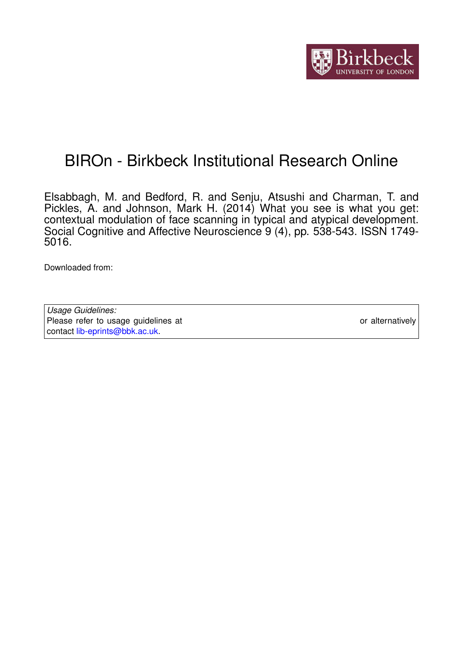

# BIROn - Birkbeck Institutional Research Online

Elsabbagh, M. and Bedford, R. and Senju, Atsushi and Charman, T. and Pickles, A. and Johnson, Mark H. (2014) What you see is what you get: contextual modulation of face scanning in typical and atypical development. Social Cognitive and Affective Neuroscience 9 (4), pp. 538-543. ISSN 1749- 5016.

Downloaded from: <https://eprints.bbk.ac.uk/id/eprint/11413/>

*Usage Guidelines:* Please refer to usage guidelines at <https://eprints.bbk.ac.uk/policies.html> or alternatively contact [lib-eprints@bbk.ac.uk.](mailto:lib-eprints@bbk.ac.uk)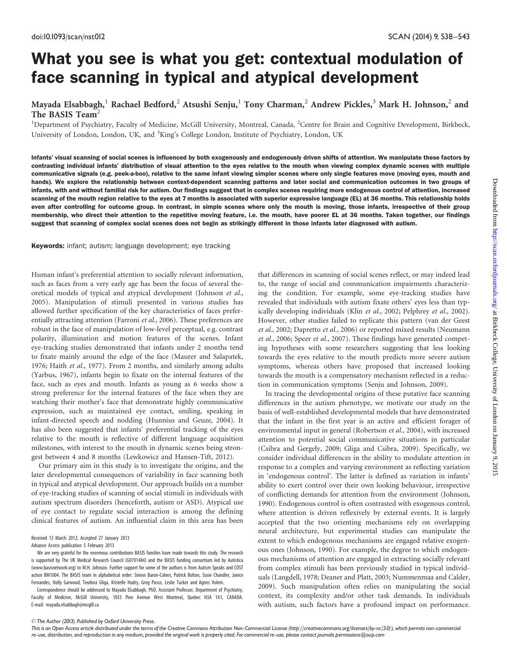## What you see is what you get: contextual modulation of face scanning in typical and atypical development

Mayada Elsabbagh,<sup>1</sup> Rachael Bedford,<sup>2</sup> Atsushi Senju,<sup>1</sup> Tony Charman,<sup>2</sup> Andrew Pickles,<sup>3</sup> Mark H. Johnson,<sup>2</sup> and The BASIS Team<sup>2</sup>

<sup>1</sup>Department of Psychiatry, Faculty of Medicine, McGill University, Montreal, Canada, <sup>2</sup>Centre for Brain and Cognitive Development, Birkbeck, University of London, London, UK, and <sup>3</sup>King's College London, Institute of Psychiatry, London, UK

Infants' visual scanning of social scenes is influenced by both exogenously and endogenously driven shifts of attention. We manipulate these factors by contrasting individual infants' distribution of visual attention to the eyes relative to the mouth when viewing complex dynamic scenes with multiple communicative signals (e.g. peek-a-boo), relative to the same infant viewing simpler scenes where only single features move (moving eyes, mouth and hands). We explore the relationship between context-dependent scanning patterns and later social and communication outcomes in two groups of infants, with and without familial risk for autism. Our findings suggest that in complex scenes requiring more endogenous control of attention, increased scanning of the mouth region relative to the eyes at 7 months is associated with superior expressive language (EL) at 36 months. This relationship holds even after controlling for outcome group. In contrast, in simple scenes where only the mouth is moving, those infants, irrespective of their group membership, who direct their attention to the repetitive moving feature, i.e. the mouth, have poorer EL at 36 months. Taken together, our findings suggest that scanning of complex social scenes does not begin as strikingly different in those infants later diagnosed with autism.

Keywords: infant; autism; language development; eye tracking

Human infant's preferential attention to socially relevant information, such as faces from a very early age has been the focus of several theoretical models of typical and atypical development [\(Johnson](#page-6-0) et al., [2005](#page-6-0)). Manipulation of stimuli presented in various studies has allowed further specification of the key characteristics of faces prefer-entially attracting attention ([Farroni](#page-6-0) et al.[, 2006](#page-6-0)). These preferences are robust in the face of manipulation of low-level perceptual, e.g. contrast polarity, illumination and motion features of the scenes. Infant eye-tracking studies demonstrated that infants under 2 months tend to fixate mainly around the edge of the face [\(Maurer and Salapatek,](#page-6-0) [1976](#page-6-0); Haith et al.[, 1977](#page-6-0)). From 2 months, and similarly among adults [\(Yarbus, 1967\)](#page-6-0), infants begin to fixate on the internal features of the face, such as eyes and mouth. Infants as young as 6 weeks show a strong preference for the internal features of the face when they are watching their mother's face that demonstrate highly communicative expression, such as maintained eye contact, smiling, speaking in infant-directed speech and nodding [\(Hunnius and Geuze, 2004\)](#page-6-0). It has also been suggested that infants' preferential tracking of the eyes relative to the mouth is reflective of different language acquisition milestones, with interest to the mouth in dynamic scenes being strongest between 4 and 8 months [\(Lewkowicz and Hansen-Tift, 2012\)](#page-6-0).

Our primary aim in this study is to investigate the origins, and the later developmental consequences of variability in face scanning both in typical and atypical development. Our approach builds on a number of eye-tracking studies of scanning of social stimuli in individuals with autism spectrum disorders (henceforth, autism or ASD). Atypical use of eye contact to regulate social interaction is among the defining clinical features of autism. An influential claim in this area has been

Received 13 March 2012; Accepted 27 January 2013

Advance Access publication 5 February 2013

Correspondence should be addressed to Mayada Elsabbagh, PhD, Assistant Professor, Department of Psychiatry, Faculty of Medicine, McGill University, 1033 Pine Avenue West Montreal, Quebec H3A 1A1, CANADA. E-mail: mayada.elsabbagh@mcgill.ca

that differences in scanning of social scenes reflect, or may indeed lead to, the range of social and communication impairments characterizing the condition. For example, some eye-tracking studies have revealed that individuals with autism fixate others' eyes less than typically developing individuals (Klin [et al](#page-6-0).[, 2002; Pelphrey](#page-6-0) et al.[, 2002](#page-6-0)). However, other studies failed to replicate this pattern [\(van der Geest](#page-6-0) [et al.](#page-6-0)[, 2002; Dapretto](#page-6-0) et al., 2006) or reported mixed results ([Neumann](#page-6-0) [et al](#page-6-0).[, 2006](#page-6-0); [Speer](#page-6-0) et al.[, 2007\)](#page-6-0). These findings have generated competing hypotheses with some researchers suggesting that less looking towards the eyes relative to the mouth predicts more severe autism symptoms, whereas others have proposed that increased looking towards the mouth is a compensatory mechanism reflected in a reduction in communication symptoms [\(Senju and Johnson, 2009](#page-6-0)).

In tracing the developmental origins of these putative face scanning differences in the autism phenotype, we motivate our study on the basis of well-established developmental models that have demonstrated that the infant in the first year is an active and efficient forager of environmental input in general ([Robertson](#page-6-0) et al.[, 2004](#page-6-0)), with increased attention to potential social communicative situations in particular [\(Csibra and Gergely, 2009](#page-6-0); [Gliga and Csibra, 2009\)](#page-6-0). Specifically, we consider individual differences in the ability to modulate attention in response to a complex and varying environment as reflecting variation in 'endogenous control'. The latter is defined as variation in infants' ability to exert control over their own looking behaviour, irrespective of conflicting demands for attention from the environment ([Johnson,](#page-6-0) [1990\)](#page-6-0). Endogenous control is often contrasted with exogenous control, where attention is driven reflexively by external events. It is largely accepted that the two orienting mechanisms rely on overlapping neural architecture, but experimental studies can manipulate the extent to which endogenous mechanisms are engaged relative exogenous ones ([Johnson, 1990](#page-6-0)). For example, the degree to which endogenous mechanisms of attention are engaged in extracting socially relevant from complex stimuli has been previously studied in typical individuals [\(Langdell, 1978; Deaner and Platt, 2003; Nummenmaa and Calder,](#page-6-0) [2009\)](#page-6-0). Such manipulation often relies on manipulating the social context, its complexity and/or other task demands. In individuals with autism, such factors have a profound impact on performance.

 $\odot$  The Author (2013). Published by Oxford University Press.

This is an Open Access article distributed under the terms of the Creative Commons Attribution Non-Commercial License (http://creativecommons.org/licenses/by-nc/3.0/), which permits non-commercial re-use, distribution, and reproductionin any medium, provided the original work is properly cited. For commercial re-use, please contact journals.permissions@oup.com

We are very grateful for the enormous contributions BASIS families have made towards this study. The research is supported by The UK Medical Research Council (G0701484) and the BASIS funding consortium led by Autistica (www.basisnetwork.org) to M.H. Johnson. Further support for some of the authors is from Autism Speaks and COST action BM1004. The BASIS team in alphabetical order: Simon Baron-Cohen, Patrick Bolton, Susie Chandler, Janice Fernandes, Holly Garwood, Teodora Gliga, Kristelle Hudry, Greg Pasco, Leslie Tucker and Agnes Volein.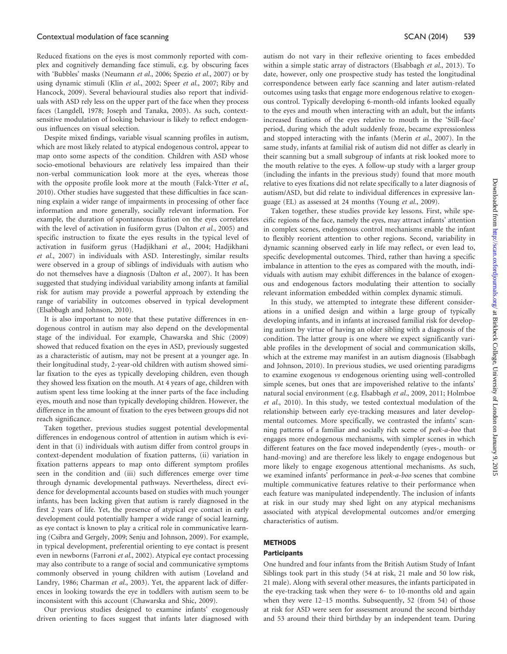#### Contextual modulation of face scanning CONSERVIATES AND SCAN (2014) 539

Reduced fixations on the eyes is most commonly reported with complex and cognitively demanding face stimuli, e.g. by obscuring faces with 'Bubbles' masks ([Neumann](#page-6-0) et al.[, 2006; Spezio](#page-6-0) et al.[, 2007](#page-6-0)) or by using dynamic stimuli (Klin [et al.](#page-6-0)[, 2002;](#page-6-0) Speer et al.[, 2007; Riby and](#page-6-0) [Hancock, 2009](#page-6-0)). Several behavioural studies also report that individuals with ASD rely less on the upper part of the face when they process faces ([Langdell, 1978](#page-6-0); [Joseph and Tanaka, 2003\)](#page-6-0). As such, contextsensitive modulation of looking behaviour is likely to reflect endogenous influences on visual selection.

Despite mixed findings, variable visual scanning profiles in autism, which are most likely related to atypical endogenous control, appear to map onto some aspects of the condition. Children with ASD whose socio-emotional behaviours are relatively less impaired than their non-verbal communication look more at the eyes, whereas those with the opposite profile look more at the mouth ([Falck-Ytter](#page-6-0) et a[l.](#page-6-0), [2010\)](#page-6-0). Other studies have suggested that these difficulties in face scanning explain a wider range of impairments in processing of other face information and more generally, socially relevant information. For example, the duration of spontaneous fixation on the eyes correlates with the level of activation in fusiform gyrus [\(Dalton](#page-6-0) et al.[, 2005\)](#page-6-0) and specific instruction to fixate the eyes results in the typical level of activation in fusiform gyrus ([Hadjikhani](#page-6-0) et al., 20[04](#page-6-0); [Hadjikhani](#page-6-0) [et al.](#page-6-0), 20[07\)](#page-6-0) in individuals with ASD. Interestingly, similar results were observed in a group of siblings of individuals with autism who do not themselves have a diagnosis ([Dalton](#page-6-0) et al.[, 2007\)](#page-6-0). It has been suggested that studying individual variability among infants at familial risk for autism may provide a powerful approach by extending the range of variability in outcomes observed in typical development ([Elsabbagh and Johnson, 2010\)](#page-6-0).

It is also important to note that these putative differences in endogenous control in autism may also depend on the developmental stage of the individual. For example, [Chawarska and Shic \(2009\)](#page-6-0) showed that reduced fixation on the eyes in ASD, previously suggested as a characteristic of autism, may not be present at a younger age. In their longitudinal study, 2-year-old children with autism showed similar fixation to the eyes as typically developing children, even though they showed less fixation on the mouth. At 4 years of age, children with autism spent less time looking at the inner parts of the face including eyes, mouth and nose than typically developing children. However, the difference in the amount of fixation to the eyes between groups did not reach significance.

Taken together, previous studies suggest potential developmental differences in endogenous control of attention in autism which is evident in that (i) individuals with autism differ from control groups in context-dependent modulation of fixation patterns, (ii) variation in fixation patterns appears to map onto different symptom profiles seen in the condition and (iii) such differences emerge over time through dynamic developmental pathways. Nevertheless, direct evidence for developmental accounts based on studies with much younger infants, has been lacking given that autism is rarely diagnosed in the first 2 years of life. Yet, the presence of atypical eye contact in early development could potentially hamper a wide range of social learning, as eye contact is known to play a critical role in communicative learning [\(Csibra and Gergely, 2009; Senju and Johnson, 2009\)](#page-6-0). For example, in typical development, preferential orienting to eye contact is present even in newborns [\(Farroni](#page-6-0) et al.[, 2002\)](#page-6-0). Atypical eye contact processing may also contribute to a range of social and communicative symptoms commonly observed in young children with autism [\(Loveland and](#page-6-0) [Landry, 1986](#page-6-0); [Charman](#page-6-0) et al., 2003). Yet, the apparent lack of differences in looking towards the eye in toddlers with autism seem to be inconsistent with this account ([Chawarska and Shic, 2009](#page-6-0)).

Our previous studies designed to examine infants' exogenously driven orienting to faces suggest that infants later diagnosed with

autism do not vary in their reflexive orienting to faces embedded within a simple static array of distractors [\(Elsabbagh](#page-6-0) et al., 2013). To date, however, only one prospective study has tested the longitudinal correspondence between early face scanning and later autism-related outcomes using tasks that engage more endogenous relative to exogenous control. Typically developing 6-month-old infants looked equally to the eyes and mouth when interacting with an adult, but the infants increased fixations of the eyes relative to mouth in the 'Still-face' period, during which the adult suddenly froze, became expressionless and stopped interacting with the infants ([Merin](#page-6-0) et al.[, 2007\)](#page-6-0). In the same study, infants at familial risk of autism did not differ as clearly in their scanning but a small subgroup of infants at risk looked more to the mouth relative to the eyes. A follow-up study with a larger group (including the infants in the previous study) found that more mouth relative to eyes fixations did not relate specifically to a later diagnosis of autism/ASD, but did relate to individual differences in expressive lan-guage (EL) as assessed at 24 months ([Young](#page-6-0) et al.[, 2009\)](#page-6-0).

Taken together, these studies provide key lessons. First, while specific regions of the face, namely the eyes, may attract infants' attention in complex scenes, endogenous control mechanisms enable the infant to flexibly reorient attention to other regions. Second, variability in dynamic scanning observed early in life may reflect, or even lead to, specific developmental outcomes. Third, rather than having a specific imbalance in attention to the eyes as compared with the mouth, individuals with autism may exhibit differences in the balance of exogenous and endogenous factors modulating their attention to socially relevant information embedded within complex dynamic stimuli.

In this study, we attempted to integrate these different considerations in a unified design and within a large group of typically developing infants, and in infants at increased familial risk for developing autism by virtue of having an older sibling with a diagnosis of the condition. The latter group is one where we expect significantly variable profiles in the development of social and communication skills, which at the extreme may manifest in an autism diagnosis [\(Elsabbagh](#page-6-0) [and Johnson, 2010\)](#page-6-0). In previous studies, we used orienting paradigms to examine exogenous vs endogenous orienting using well-controlled simple scenes, but ones that are impoverished relative to the infants' natural social environment (e.g. [Elsabbagh](#page-6-0) et al., 2009, [2011; Holmboe](#page-6-0) et al.[, 2010](#page-6-0)). In this study, we tested contextual modulation of the relationship between early eye-tracking measures and later developmental outcomes. More specifically, we contrasted the infants' scanning patterns of a familiar and socially rich scene of peek-a-boo that engages more endogenous mechanisms, with simpler scenes in which different features on the face moved independently (eyes-, mouth- or hand-moving) and are therefore less likely to engage endogenous but more likely to engage exogenous attentional mechanisms. As such, we examined infants' performance in peek-a-boo scenes that combine multiple communicative features relative to their performance when each feature was manipulated independently. The inclusion of infants at risk in our study may shed light on any atypical mechanisms associated with atypical developmental outcomes and/or emerging characteristics of autism.

## **METHODS**

## **Participants**

One hundred and four infants from the British Autism Study of Infant Siblings took part in this study (54 at risk, 21 male and 50 low risk, 21 male). Along with several other measures, the infants participated in the eye-tracking task when they were 6- to 10-months old and again when they were 12–15 months. Subsequently, 52 (from 54) of those at risk for ASD were seen for assessment around the second birthday and 53 around their third birthday by an independent team. During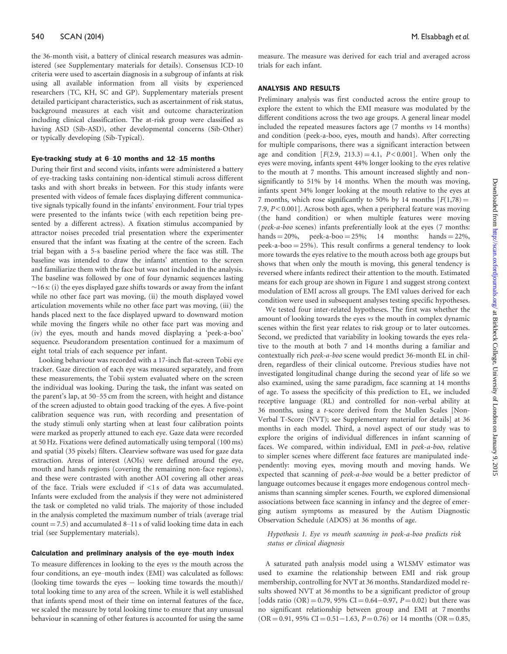the 36-month visit, a battery of clinical research measures was administered (see [Supplementary materials](http://scan.oxfordjournals.org/lookup/suppl/doi:10.1093/scan/nst012/-/DC1) for details). Consensus ICD-10 criteria were used to ascertain diagnosis in a subgroup of infants at risk using all available information from all visits by experienced researchers (TC, KH, SC and GP). [Supplementary materials](http://scan.oxfordjournals.org/lookup/suppl/doi:10.1093/scan/nst012/-/DC1) present detailed participant characteristics, such as ascertainment of risk status, background measures at each visit and outcome characterization including clinical classification. The at-risk group were classified as having ASD (Sib-ASD), other developmental concerns (Sib-Other) or typically developing (Sib-Typical).

#### Eye-tracking study at 6–10 months and 12–15 months

During their first and second visits, infants were administered a battery of eye-tracking tasks containing non-identical stimuli across different tasks and with short breaks in between. For this study infants were presented with videos of female faces displaying different communicative signals typically found in the infants' environment. Four trial types were presented to the infants twice (with each repetition being presented by a different actress). A fixation stimulus accompanied by attractor noises preceded trial presentation where the experimenter ensured that the infant was fixating at the centre of the screen. Each trial began with a 5-s baseline period where the face was still. The baseline was intended to draw the infants' attention to the screen and familiarize them with the face but was not included in the analysis. The baseline was followed by one of four dynamic sequences lasting  $\sim$ 16 s: (i) the eyes displayed gaze shifts towards or away from the infant while no other face part was moving, (ii) the mouth displayed vowel articulation movements while no other face part was moving, (iii) the hands placed next to the face displayed upward to downward motion while moving the fingers while no other face part was moving and (iv) the eyes, mouth and hands moved displaying a 'peek-a-boo' sequence. Pseudorandom presentation continued for a maximum of eight total trials of each sequence per infant.

Looking behaviour was recorded with a 17-inch flat-screen Tobii eye tracker. Gaze direction of each eye was measured separately, and from these measurements, the Tobii system evaluated where on the screen the individual was looking. During the task, the infant was seated on the parent's lap, at 50–55 cm from the screen, with height and distance of the screen adjusted to obtain good tracking of the eyes. A five-point calibration sequence was run, with recording and presentation of the study stimuli only starting when at least four calibration points were marked as properly attuned to each eye. Gaze data were recorded at 50 Hz. Fixations were defined automatically using temporal (100 ms) and spatial (35 pixels) filters. Clearview software was used for gaze data extraction. Areas of interest (AOIs) were defined around the eye, mouth and hands regions (covering the remaining non-face regions), and these were contrasted with another AOI covering all other areas of the face. Trials were excluded if <1 s of data was accumulated. Infants were excluded from the analysis if they were not administered the task or completed no valid trials. The majority of those included in the analysis completed the maximum number of trials (average trial count  $= 7.5$ ) and accumulated 8–11 s of valid looking time data in each trial (see [Supplementary materials\)](http://scan.oxfordjournals.org/lookup/suppl/doi:10.1093/scan/nst012/-/DC1).

#### Calculation and preliminary analysis of the eye–mouth index

To measure differences in looking to the eyes vs the mouth across the four conditions, an eye–mouth index (EMI) was calculated as follows: (looking time towards the eyes  $-$  looking time towards the mouth)/ total looking time to any area of the screen. While it is well established that infants spend most of their time on internal features of the face, we scaled the measure by total looking time to ensure that any unusual behaviour in scanning of other features is accounted for using the same

measure. The measure was derived for each trial and averaged across trials for each infant.

## ANALYSIS AND RESULTS

Preliminary analysis was first conducted across the entire group to explore the extent to which the EMI measure was modulated by the different conditions across the two age groups. A general linear model included the repeated measures factors age  $(7 \text{ months } vs 14 \text{ months})$ and condition (peek-a-boo, eyes, mouth and hands). After correcting for multiple comparisons, there was a significant interaction between age and condition  $[F(2.9, 213.3) = 4.1, P < 0.001]$ . When only the eyes were moving, infants spent 44% longer looking to the eyes relative to the mouth at 7 months. This amount increased slightly and nonsignificantly to 51% by 14 months. When the mouth was moving, infants spent 34% longer looking at the mouth relative to the eyes at 7 months, which rose significantly to 50% by 14 months  $F(1,78) =$ 7.9,  $P < 0.001$ ]. Across both ages, when a peripheral feature was moving (the hand condition) or when multiple features were moving (peek-a-boo scenes) infants preferentially look at the eyes (7 months: hands  $= 20\%$ , peek-a-boo  $= 25\%$ ; 14 months: hands  $= 22\%$ , peek-a-boo  $= 25\%$ ). This result confirms a general tendency to look more towards the eyes relative to the mouth across both age groups but shows that when only the mouth is moving, this general tendency is reversed where infants redirect their attention to the mouth. Estimated means for each group are shown in Figure 1 and suggest strong context modulation of EMI across all groups. The EMI values derived for each condition were used in subsequent analyses testing specific hypotheses.

We tested four inter-related hypotheses. The first was whether the amount of looking towards the eyes vs the mouth in complex dynamic scenes within the first year relates to risk group or to later outcomes. Second, we predicted that variability in looking towards the eyes relative to the mouth at both 7 and 14 months during a familiar and contextually rich peek-a-boo scene would predict 36-month EL in children, regardless of their clinical outcome. Previous studies have not investigated longitudinal change during the second year of life so we also examined, using the same paradigm, face scanning at 14 months of age. To assess the specificity of this prediction to EL, we included receptive language (RL) and controlled for non-verbal ability at 36 months, using a t-score derived from the Mullen Scales [Non-Verbal T-Score (NVT); see [Supplementary material](http://scan.oxfordjournals.org/lookup/suppl/doi:10.1093/scan/nst012/-/DC1) for details] at 36 months in each model. Third, a novel aspect of our study was to explore the origins of individual differences in infant scanning of faces. We compared, within individual, EMI in peek-a-boo, relative to simpler scenes where different face features are manipulated independently: moving eyes, moving mouth and moving hands. We expected that scanning of peek-a-boo would be a better predictor of language outcomes because it engages more endogenous control mechanisms than scanning simpler scenes. Fourth, we explored dimensional associations between face scanning in infancy and the degree of emerging autism symptoms as measured by the Autism Diagnostic Observation Schedule (ADOS) at 36 months of age.

## Hypothesis 1. Eye vs mouth scanning in peek-a-boo predicts risk status or clinical diagnosis

A saturated path analysis model using a WLSMV estimator was used to examine the relationship between EMI and risk group membership, controlling for NVT at 36 months. Standardized model results showed NVT at 36 months to be a significant predictor of group [odds ratio (OR) = 0.79, 95% CI = 0.64-0.97,  $P = 0.02$ ) but there was no significant relationship between group and EMI at 7 months  $(OR = 0.91, 95\% \text{ CI} = 0.51 - 1.63, P = 0.76) \text{ or } 14 \text{ months } (OR = 0.85,$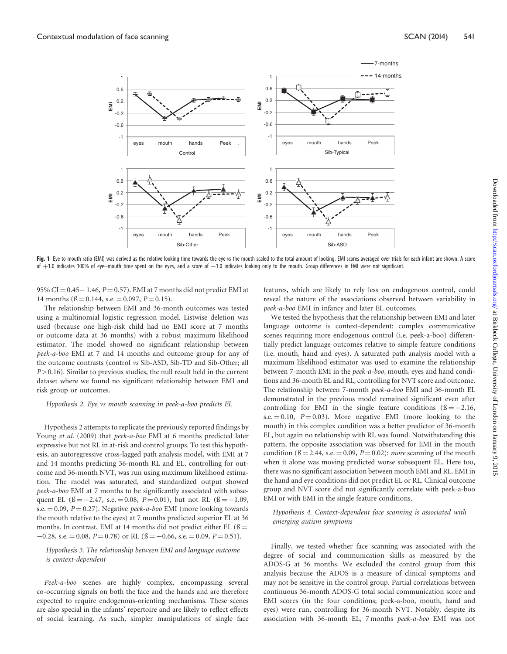

Fig. 1 Eye to mouth ratio (EMI) was derived as the relative looking time towards the eye vs the mouth scaled to the total amount of looking. EMI scores averaged over trials for each infant are shown. A score of +1.0 indicates 100% of eye-mouth time spent on the eyes, and a score of -1.0 indicates looking only to the mouth. Group differences in EMI were not significant.

95% CI =  $0.45 - 1.46$ ,  $P = 0.57$ ). EMI at 7 months did not predict EMI at 14 months ( $\beta = 0.144$ , s.e.  $= 0.097$ ,  $P = 0.15$ ).

The relationship between EMI and 36-month outcomes was tested using a multinomial logistic regression model. Listwise deletion was used (because one high-risk child had no EMI score at 7 months or outcome data at 36 months) with a robust maximum likelihood estimator. The model showed no significant relationship between peek-a-boo EMI at 7 and 14 months and outcome group for any of the outcome contrasts (control vs Sib-ASD, Sib-TD and Sib-Other; all  $P > 0.16$ ). Similar to previous studies, the null result held in the current dataset where we found no significant relationship between EMI and risk group or outcomes.

#### Hypothesis 2. Eye vs mouth scanning in peek-a-boo predicts EL

Hypothesis 2 attempts to replicate the previously reported findings by Young et al. [\(2009\)](#page-6-0) that peek-a-boo EMI at 6 months predicted later expressive but not RL in at-risk and control groups. To test this hypothesis, an autoregressive cross-lagged path analysis model, with EMI at 7 and 14 months predicting 36-month RL and EL, controlling for outcome and 36-month NVT, was run using maximum likelihood estimation. The model was saturated, and standardized output showed peek-a-boo EMI at 7 months to be significantly associated with subsequent EL ( $\beta = -2.47$ , s.e.  $= 0.08$ ,  $P = 0.01$ ), but not RL ( $\beta = -1.09$ , s.e.  $= 0.09$ ,  $P = 0.27$ ). Negative *peek-a-boo* EMI (more looking towards the mouth relative to the eyes) at 7 months predicted superior EL at 36 months. In contrast, EMI at 14 months did not predict either EL ( $\beta$  =  $-0.28$ , s.e.  $= 0.08$ ,  $P = 0.78$ ) or RL ( $\beta = -0.66$ , s.e.  $= 0.09$ ,  $P = 0.51$ ).

#### Hypothesis 3. The relationship between EMI and language outcome is context-dependent

Peek-a-boo scenes are highly complex, encompassing several co-occurring signals on both the face and the hands and are therefore expected to require endogenous-orienting mechanisms. These scenes are also special in the infants' repertoire and are likely to reflect effects of social learning. As such, simpler manipulations of single face features, which are likely to rely less on endogenous control, could reveal the nature of the associations observed between variability in peek-a-boo EMI in infancy and later EL outcomes.

We tested the hypothesis that the relationship between EMI and later language outcome is context-dependent: complex communicative scenes requiring more endogenous control (i.e. peek-a-boo) differentially predict language outcomes relative to simple feature conditions (i.e. mouth, hand and eyes). A saturated path analysis model with a maximum likelihood estimator was used to examine the relationship between 7-month EMI in the peek-a-boo, mouth, eyes and hand conditions and 36-month EL and RL, controlling for NVT score and outcome. The relationship between 7-month peek-a-boo EMI and 36-month EL demonstrated in the previous model remained significant even after controlling for EMI in the single feature conditions  $(\beta = -2.16,$ s.e.  $= 0.10$ ,  $P = 0.03$ ). More negative EMI (more looking to the mouth) in this complex condition was a better predictor of 36-month EL, but again no relationship with RL was found. Notwithstanding this pattern, the opposite association was observed for EMI in the mouth condition ( $\beta$  = 2.44, s.e. = 0.09, P = 0.02): more scanning of the mouth when it alone was moving predicted worse subsequent EL. Here too, there was no significant association between mouth EMI and RL. EMI in the hand and eye conditions did not predict EL or RL. Clinical outcome group and NVT score did not significantly correlate with peek-a-boo EMI or with EMI in the single feature conditions.

#### Hypothesis 4. Context-dependent face scanning is associated with emerging autism symptoms

Finally, we tested whether face scanning was associated with the degree of social and communication skills as measured by the ADOS-G at 36 months. We excluded the control group from this analysis because the ADOS is a measure of clinical symptoms and may not be sensitive in the control group. Partial correlations between continuous 36-month ADOS-G total social communication score and EMI scores (in the four conditions; peek-a-boo, mouth, hand and eyes) were run, controlling for 36-month NVT. Notably, despite its association with 36-month EL, 7 months peek-a-boo EMI was not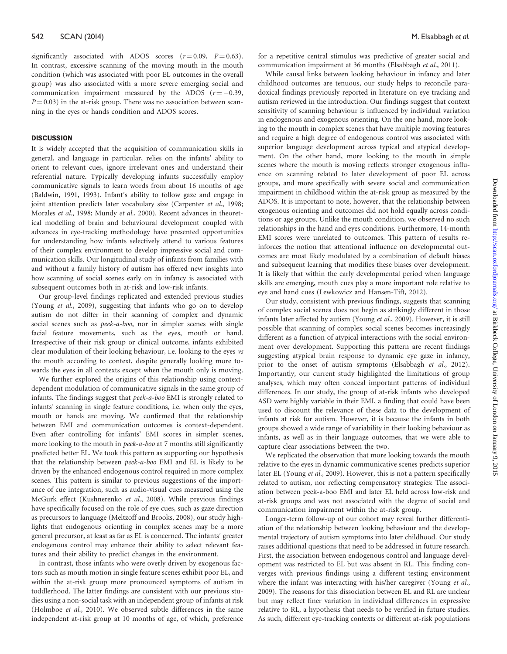significantly associated with ADOS scores  $(r=0.09, P=0.63)$ . In contrast, excessive scanning of the moving mouth in the mouth condition (which was associated with poor EL outcomes in the overall group) was also associated with a more severe emerging social and communication impairment measured by the ADOS  $(r = -0.39,$  $P = 0.03$ ) in the at-risk group. There was no association between scanning in the eyes or hands condition and ADOS scores.

#### **DISCUSSION**

It is widely accepted that the acquisition of communication skills in general, and language in particular, relies on the infants' ability to orient to relevant cues, ignore irrelevant ones and understand their referential nature. Typically developing infants successfully employ communicative signals to learn words from about 16 months of age [\(Baldwin, 1991, 1993](#page-6-0)). Infant's ability to follow gaze and engage in joint attention predicts later vocabulary size [\(Carpenter](#page-6-0) et al., 1998; [Morales](#page-6-0) et al.[, 1998; Mundy](#page-6-0) et al.[, 2000\)](#page-6-0). Recent advances in theoretical modelling of brain and behavioural development coupled with advances in eye-tracking methodology have presented opportunities for understanding how infants selectively attend to various features of their complex environment to develop impressive social and communication skills. Our longitudinal study of infants from families with and without a family history of autism has offered new insights into how scanning of social scenes early on in infancy is associated with subsequent outcomes both in at-risk and low-risk infants.

Our group-level findings replicated and extended previous studies [\(Young](#page-6-0) et al.[, 2009](#page-6-0)), suggesting that infants who go on to develop autism do not differ in their scanning of complex and dynamic social scenes such as peek-a-boo, nor in simpler scenes with single facial feature movements, such as the eyes, mouth or hand. Irrespective of their risk group or clinical outcome, infants exhibited clear modulation of their looking behaviour, i.e. looking to the eyes vs the mouth according to context, despite generally looking more towards the eyes in all contexts except when the mouth only is moving.

We further explored the origins of this relationship using contextdependent modulation of communicative signals in the same group of infants. The findings suggest that peek-a-boo EMI is strongly related to infants' scanning in single feature conditions, i.e. when only the eyes, mouth or hands are moving. We confirmed that the relationship between EMI and communication outcomes is context-dependent. Even after controlling for infants' EMI scores in simpler scenes, more looking to the mouth in peek-a-boo at 7 months still significantly predicted better EL. We took this pattern as supporting our hypothesis that the relationship between peek-a-boo EMI and EL is likely to be driven by the enhanced endogenous control required in more complex scenes. This pattern is similar to previous suggestions of the importance of cue integration, such as audio-visual cues measured using the McGurk effect [\(Kushnerenko](#page-6-0) et al.[, 2008](#page-6-0)). While previous findings have specifically focused on the role of eye cues, such as gaze direction as precursors to language [\(Meltzoff and Brooks, 2008\)](#page-6-0), our study highlights that endogenous orienting in complex scenes may be a more general precursor, at least as far as EL is concerned. The infants' greater endogenous control may enhance their ability to select relevant features and their ability to predict changes in the environment.

In contrast, those infants who were overly driven by exogenous factors such as mouth motion in single feature scenes exhibit poor EL, and within the at-risk group more pronounced symptoms of autism in toddlerhood. The latter findings are consistent with our previous studies using a non-social task with an independent group of infants at risk [\(Holmboe](#page-6-0) et al.[, 2010\)](#page-6-0). We observed subtle differences in the same independent at-risk group at 10 months of age, of which, preference for a repetitive central stimulus was predictive of greater social and communication impairment at 36 months ([Elsabbagh](#page-6-0) et al.[, 2011](#page-6-0)).

While causal links between looking behaviour in infancy and later childhood outcomes are tenuous, our study helps to reconcile paradoxical findings previously reported in literature on eye tracking and autism reviewed in the introduction. Our findings suggest that context sensitivity of scanning behaviour is influenced by individual variation in endogenous and exogenous orienting. On the one hand, more looking to the mouth in complex scenes that have multiple moving features and require a high degree of endogenous control was associated with superior language development across typical and atypical development. On the other hand, more looking to the mouth in simple scenes where the mouth is moving reflects stronger exogenous influence on scanning related to later development of poor EL across groups, and more specifically with severe social and communication impairment in childhood within the at-risk group as measured by the ADOS. It is important to note, however, that the relationship between exogenous orienting and outcomes did not hold equally across conditions or age groups. Unlike the mouth condition, we observed no such relationships in the hand and eyes conditions. Furthermore, 14-month EMI scores were unrelated to outcomes. This pattern of results reinforces the notion that attentional influence on developmental outcomes are most likely modulated by a combination of default biases and subsequent learning that modifies these biases over development. It is likely that within the early developmental period when language skills are emerging, mouth cues play a more important role relative to eye and hand cues ([Lewkowicz and Hansen-Tift, 2012](#page-6-0)).

Our study, consistent with previous findings, suggests that scanning of complex social scenes does not begin as strikingly different in those infants later affected by autism ([Young](#page-6-0) et al.[, 2009](#page-6-0)). However, it is still possible that scanning of complex social scenes becomes increasingly different as a function of atypical interactions with the social environment over development. Supporting this pattern are recent findings suggesting atypical brain response to dynamic eye gaze in infancy, prior to the onset of autism symptoms ([Elsabbagh](#page-6-0) et al., 2012). Importantly, our current study highlighted the limitations of group analyses, which may often conceal important patterns of individual differences. In our study, the group of at-risk infants who developed ASD were highly variable in their EMI, a finding that could have been used to discount the relevance of these data to the development of infants at risk for autism. However, it is because the infants in both groups showed a wide range of variability in their looking behaviour as infants, as well as in their language outcomes, that we were able to capture clear associations between the two.

We replicated the observation that more looking towards the mouth relative to the eyes in dynamic communicative scenes predicts superior later EL ([Young](#page-6-0) et al.[, 2009\)](#page-6-0). However, this is not a pattern specifically related to autism, nor reflecting compensatory strategies: The association between peek-a-boo EMI and later EL held across low-risk and at-risk groups and was not associated with the degree of social and communication impairment within the at-risk group.

Longer-term follow-up of our cohort may reveal further differentiation of the relationship between looking behaviour and the developmental trajectory of autism symptoms into later childhood. Our study raises additional questions that need to be addressed in future research. First, the association between endogenous control and language development was restricted to EL but was absent in RL. This finding converges with previous findings using a different testing environment where the infant was interacting with his/her caregiver ([Young](#page-6-0) et al.[,](#page-6-0) [2009\)](#page-6-0). The reasons for this dissociation between EL and RL are unclear but may reflect finer variation in individual differences in expressive relative to RL, a hypothesis that needs to be verified in future studies. As such, different eye-tracking contexts or different at-risk populations